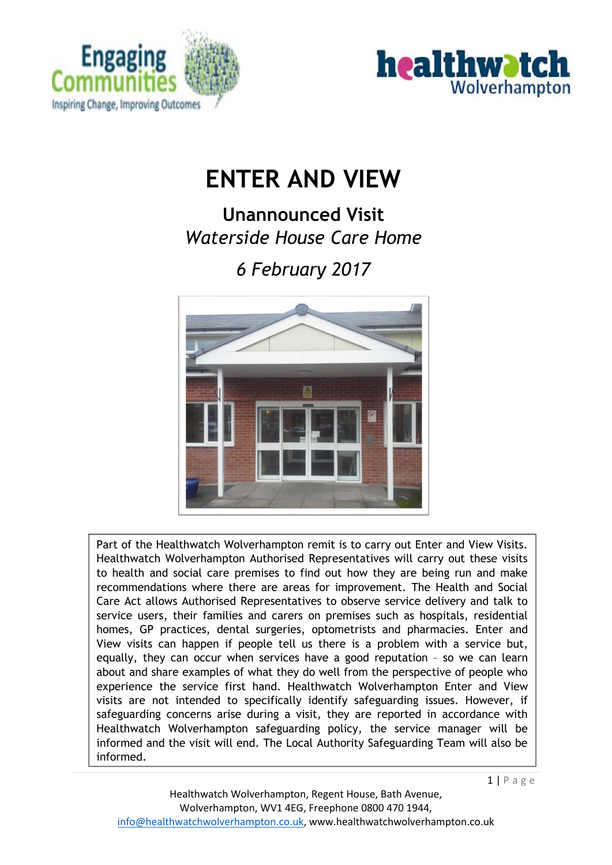



# **ENTER AND VIEW**

**Unannounced Visit**  *Waterside House Care Home*

*6 February 2017* 



Part of the Healthwatch Wolverhampton remit is to carry out Enter and View Visits. Healthwatch Wolverhampton Authorised Representatives will carry out these visits to health and social care premises to find out how they are being run and make recommendations where there are areas for improvement. The Health and Social Care Act allows Authorised Representatives to observe service delivery and talk to service users, their families and carers on premises such as hospitals, residential homes, GP practices, dental surgeries, optometrists and pharmacies. Enter and View visits can happen if people tell us there is a problem with a service but, equally, they can occur when services have a good reputation – so we can learn about and share examples of what they do well from the perspective of people who experience the service first hand. Healthwatch Wolverhampton Enter and View visits are not intended to specifically identify safeguarding issues. However, if safeguarding concerns arise during a visit, they are reported in accordance with Healthwatch Wolverhampton safeguarding policy, the service manager will be informed and the visit will end. The Local Authority Safeguarding Team will also be informed.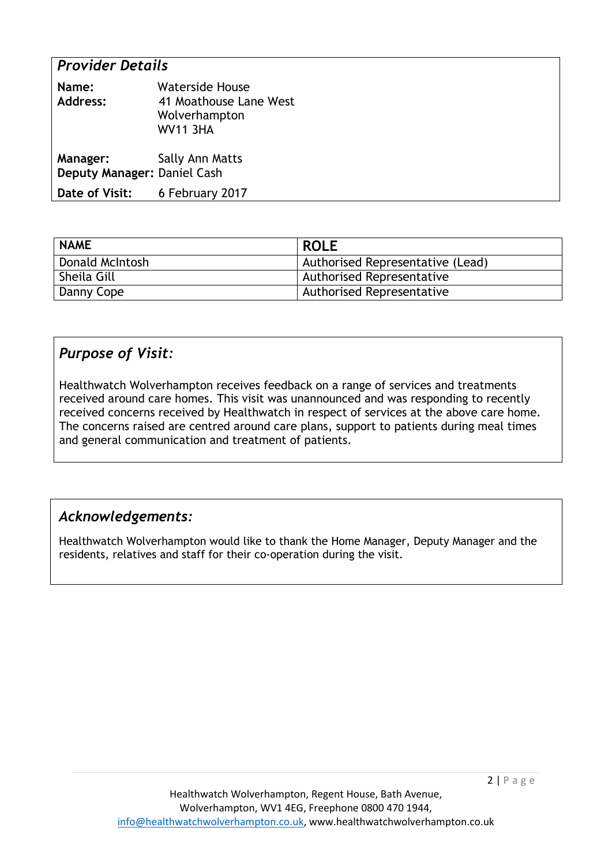#### *Provider Details*

| Name:<br>Address:                              | Waterside House<br>41 Moathouse Lane West<br>Wolverhampton<br><b>WV11 3HA</b> |  |
|------------------------------------------------|-------------------------------------------------------------------------------|--|
| <b>Manager:</b><br>Deputy Manager: Daniel Cash | Sally Ann Matts                                                               |  |
| Date of Visit:                                 | 6 February 2017                                                               |  |

| <b>NAME</b>     | <b>ROLE</b>                      |  |  |
|-----------------|----------------------------------|--|--|
| Donald McIntosh | Authorised Representative (Lead) |  |  |
| Sheila Gill     | Authorised Representative        |  |  |
| Danny Cope      | Authorised Representative        |  |  |

## *Purpose of Visit:*

Healthwatch Wolverhampton receives feedback on a range of services and treatments received around care homes. This visit was unannounced and was responding to recently received concerns received by Healthwatch in respect of services at the above care home. The concerns raised are centred around care plans, support to patients during meal times and general communication and treatment of patients.

#### *Acknowledgements:*

Healthwatch Wolverhampton would like to thank the Home Manager, Deputy Manager and the residents, relatives and staff for their co-operation during the visit.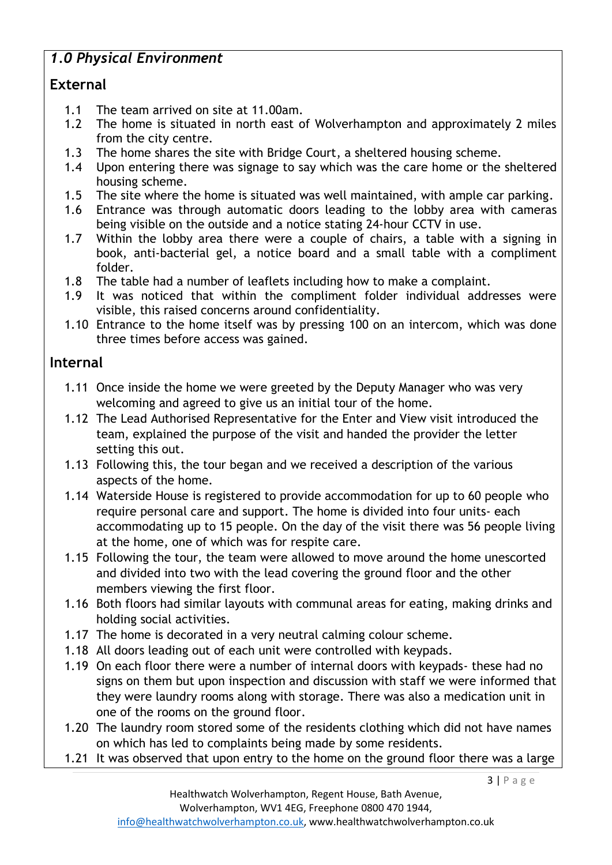## *1.0 Physical Environment*

## **External**

- 1.1 The team arrived on site at 11.00am.
- 1.2 The home is situated in north east of Wolverhampton and approximately 2 miles from the city centre.
- 1.3 The home shares the site with Bridge Court, a sheltered housing scheme.
- 1.4 Upon entering there was signage to say which was the care home or the sheltered housing scheme.
- 1.5 The site where the home is situated was well maintained, with ample car parking.
- 1.6 Entrance was through automatic doors leading to the lobby area with cameras being visible on the outside and a notice stating 24-hour CCTV in use.
- 1.7 Within the lobby area there were a couple of chairs, a table with a signing in book, anti-bacterial gel, a notice board and a small table with a compliment folder.
- 1.8 The table had a number of leaflets including how to make a complaint.
- 1.9 It was noticed that within the compliment folder individual addresses were visible, this raised concerns around confidentiality.
- 1.10 Entrance to the home itself was by pressing 100 on an intercom, which was done three times before access was gained.

#### **Internal**

- 1.11 Once inside the home we were greeted by the Deputy Manager who was very welcoming and agreed to give us an initial tour of the home.
- 1.12 The Lead Authorised Representative for the Enter and View visit introduced the team, explained the purpose of the visit and handed the provider the letter setting this out.
- 1.13 Following this, the tour began and we received a description of the various aspects of the home.
- 1.14 Waterside House is registered to provide accommodation for up to 60 people who require personal care and support. The home is divided into four units- each accommodating up to 15 people. On the day of the visit there was 56 people living at the home, one of which was for respite care.
- 1.15 Following the tour, the team were allowed to move around the home unescorted and divided into two with the lead covering the ground floor and the other members viewing the first floor.
- 1.16 Both floors had similar layouts with communal areas for eating, making drinks and holding social activities.
- 1.17 The home is decorated in a very neutral calming colour scheme.
- 1.18 All doors leading out of each unit were controlled with keypads.
- 1.19 On each floor there were a number of internal doors with keypads- these had no signs on them but upon inspection and discussion with staff we were informed that they were laundry rooms along with storage. There was also a medication unit in one of the rooms on the ground floor.
- 1.20 The laundry room stored some of the residents clothing which did not have names on which has led to complaints being made by some residents.
- 1.21 It was observed that upon entry to the home on the ground floor there was a large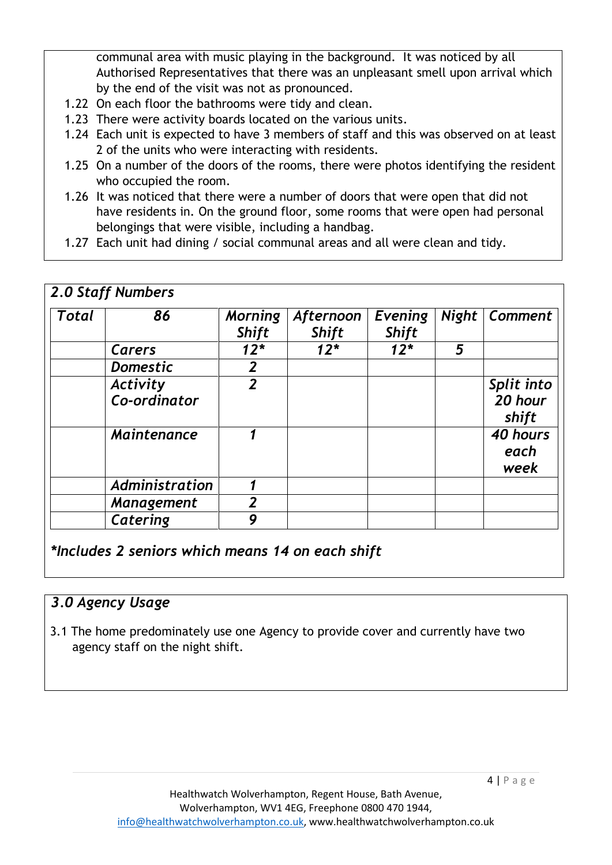communal area with music playing in the background. It was noticed by all Authorised Representatives that there was an unpleasant smell upon arrival which by the end of the visit was not as pronounced.

- 1.22 On each floor the bathrooms were tidy and clean.
- 1.23 There were activity boards located on the various units.
- 1.24 Each unit is expected to have 3 members of staff and this was observed on at least 2 of the units who were interacting with residents.
- 1.25 On a number of the doors of the rooms, there were photos identifying the resident who occupied the room.
- 1.26 It was noticed that there were a number of doors that were open that did not have residents in. On the ground floor, some rooms that were open had personal belongings that were visible, including a handbag.
- 1.27 Each unit had dining / social communal areas and all were clean and tidy.

| <b>Total</b> | 86                       | <b>Morning</b><br><b>Shift</b> | Afternoon<br>Shift | <b>Evening</b><br><b>Shift</b> | Night | <b>Comment</b>                 |
|--------------|--------------------------|--------------------------------|--------------------|--------------------------------|-------|--------------------------------|
|              | Carers                   | $12*$                          | $12*$              | $12*$                          | 5     |                                |
|              | <b>Domestic</b>          | $\overline{2}$                 |                    |                                |       |                                |
|              | Activity<br>Co-ordinator | $\overline{2}$                 |                    |                                |       | Split into<br>20 hour<br>shift |
|              | Maintenance              |                                |                    |                                |       | 40 hours<br>each<br>week       |
|              | Administration           |                                |                    |                                |       |                                |
|              | <b>Management</b>        | $\overline{2}$                 |                    |                                |       |                                |
|              | Catering                 | 9                              |                    |                                |       |                                |

# *\*Includes 2 seniors which means 14 on each shift*

## *3.0 Agency Usage*

3.1 The home predominately use one Agency to provide cover and currently have two agency staff on the night shift.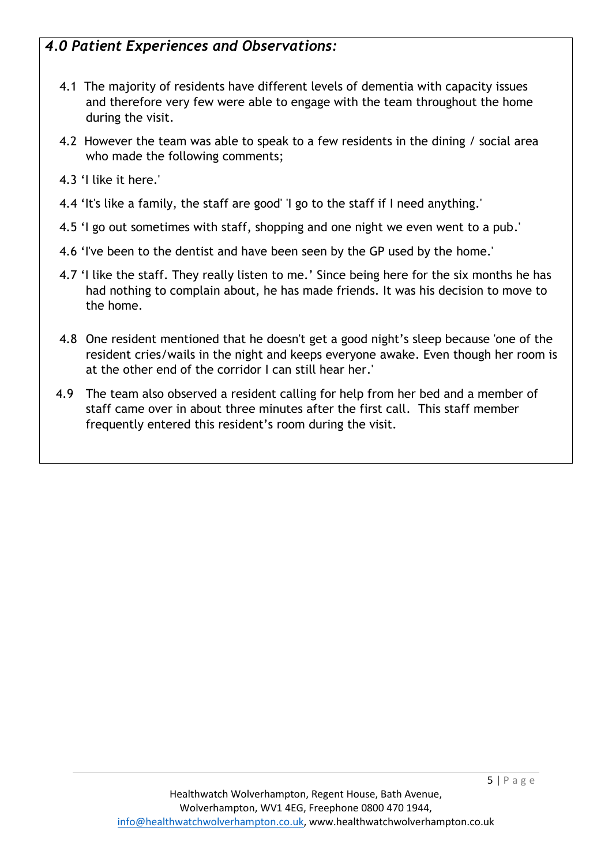## *4.0 Patient Experiences and Observations:*

- 4.1 The majority of residents have different levels of dementia with capacity issues and therefore very few were able to engage with the team throughout the home during the visit.
- 4.2 However the team was able to speak to a few residents in the dining / social area who made the following comments;
- 4.3 'I like it here.'
- 4.4 'It's like a family, the staff are good' 'I go to the staff if I need anything.'
- 4.5 'I go out sometimes with staff, shopping and one night we even went to a pub.'
- 4.6 'I've been to the dentist and have been seen by the GP used by the home.'
- 4.7 'I like the staff. They really listen to me.' Since being here for the six months he has had nothing to complain about, he has made friends. It was his decision to move to the home.
- 4.8 One resident mentioned that he doesn't get a good night's sleep because 'one of the resident cries/wails in the night and keeps everyone awake. Even though her room is at the other end of the corridor I can still hear her.'
- 4.9 The team also observed a resident calling for help from her bed and a member of staff came over in about three minutes after the first call. This staff member frequently entered this resident's room during the visit.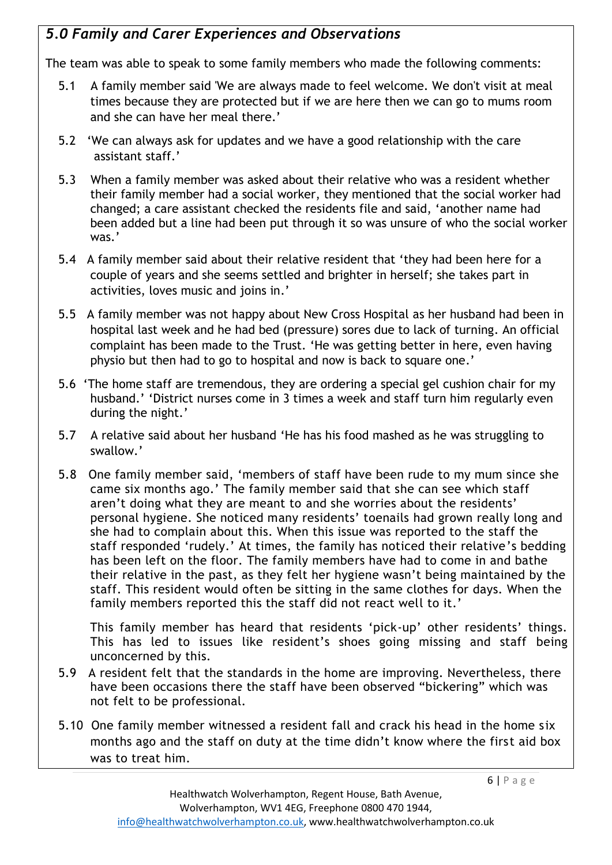## *5.0 Family and Carer Experiences and Observations*

The team was able to speak to some family members who made the following comments:

- 5.1 A family member said 'We are always made to feel welcome. We don't visit at meal times because they are protected but if we are here then we can go to mums room and she can have her meal there.'
- 5.2 'We can always ask for updates and we have a good relationship with the care assistant staff.'
- 5.3 When a family member was asked about their relative who was a resident whether their family member had a social worker, they mentioned that the social worker had changed; a care assistant checked the residents file and said, 'another name had been added but a line had been put through it so was unsure of who the social worker was.'
- 5.4 A family member said about their relative resident that 'they had been here for a couple of years and she seems settled and brighter in herself; she takes part in activities, loves music and joins in.'
- 5.5 A family member was not happy about New Cross Hospital as her husband had been in hospital last week and he had bed (pressure) sores due to lack of turning. An official complaint has been made to the Trust. 'He was getting better in here, even having physio but then had to go to hospital and now is back to square one.'
- 5.6 'The home staff are tremendous, they are ordering a special gel cushion chair for my husband.' 'District nurses come in 3 times a week and staff turn him regularly even during the night.'
- 5.7 A relative said about her husband 'He has his food mashed as he was struggling to swallow.'
- 5.8 One family member said, 'members of staff have been rude to my mum since she came six months ago.' The family member said that she can see which staff aren't doing what they are meant to and she worries about the residents' personal hygiene. She noticed many residents' toenails had grown really long and she had to complain about this. When this issue was reported to the staff the staff responded 'rudely.' At times, the family has noticed their relative's bedding has been left on the floor. The family members have had to come in and bathe their relative in the past, as they felt her hygiene wasn't being maintained by the staff. This resident would often be sitting in the same clothes for days. When the family members reported this the staff did not react well to it.'

 This family member has heard that residents 'pick-up' other residents' things. This has led to issues like resident's shoes going missing and staff being unconcerned by this.

- 5.9 A resident felt that the standards in the home are improving. Nevertheless, there have been occasions there the staff have been observed "bickering" which was not felt to be professional.
- 5.10 One family member witnessed a resident fall and crack his head in the home six months ago and the staff on duty at the time didn't know where the first aid box was to treat him.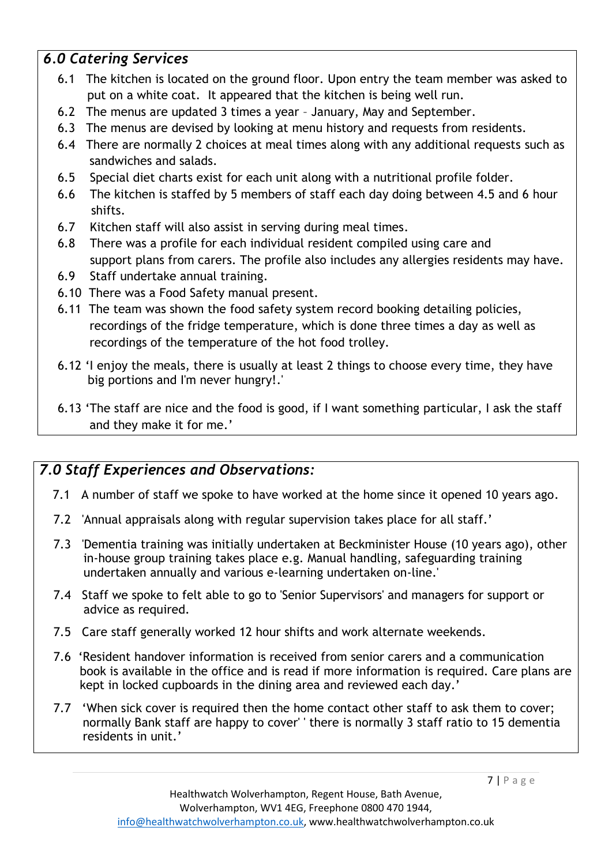## *6.0 Catering Services*

- 6.1 The kitchen is located on the ground floor. Upon entry the team member was asked to put on a white coat. It appeared that the kitchen is being well run.
- 6.2 The menus are updated 3 times a year January, May and September.
- 6.3 The menus are devised by looking at menu history and requests from residents.
- 6.4 There are normally 2 choices at meal times along with any additional requests such as sandwiches and salads.
- 6.5 Special diet charts exist for each unit along with a nutritional profile folder.
- 6.6 The kitchen is staffed by 5 members of staff each day doing between 4.5 and 6 hour shifts.
- 6.7 Kitchen staff will also assist in serving during meal times.
- 6.8 There was a profile for each individual resident compiled using care and support plans from carers. The profile also includes any allergies residents may have.
- 6.9 Staff undertake annual training.
- 6.10 There was a Food Safety manual present.
- 6.11 The team was shown the food safety system record booking detailing policies, recordings of the fridge temperature, which is done three times a day as well as recordings of the temperature of the hot food trolley.
- 6.12 'I enjoy the meals, there is usually at least 2 things to choose every time, they have big portions and I'm never hungry!.'
- 6.13 'The staff are nice and the food is good, if I want something particular, I ask the staff and they make it for me.'

## *7.0 Staff Experiences and Observations:*

- 7.1 A number of staff we spoke to have worked at the home since it opened 10 years ago.
- 7.2 'Annual appraisals along with regular supervision takes place for all staff.'
- 7.3 'Dementia training was initially undertaken at Beckminister House (10 years ago), other in-house group training takes place e.g. Manual handling, safeguarding training undertaken annually and various e-learning undertaken on-line.'
- 7.4 Staff we spoke to felt able to go to 'Senior Supervisors' and managers for support or advice as required.
- 7.5 Care staff generally worked 12 hour shifts and work alternate weekends.
- 7.6 'Resident handover information is received from senior carers and a communication book is available in the office and is read if more information is required. Care plans are kept in locked cupboards in the dining area and reviewed each day.'
- 7.7 'When sick cover is required then the home contact other staff to ask them to cover; normally Bank staff are happy to cover' ' there is normally 3 staff ratio to 15 dementia residents in unit.'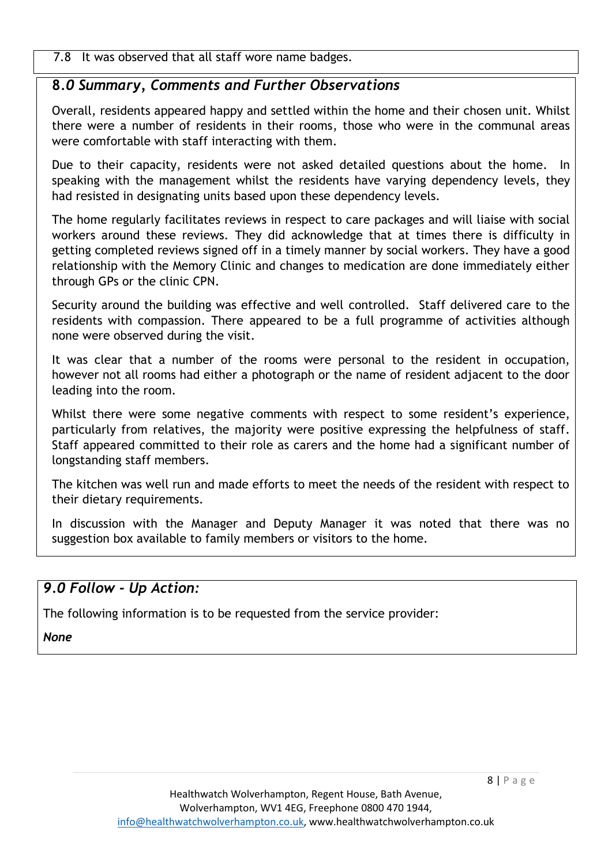#### 7.8 It was observed that all staff wore name badges.

#### **8***.0 Summary, Comments and Further Observations*

Overall, residents appeared happy and settled within the home and their chosen unit. Whilst there were a number of residents in their rooms, those who were in the communal areas were comfortable with staff interacting with them.

Due to their capacity, residents were not asked detailed questions about the home. In speaking with the management whilst the residents have varying dependency levels, they had resisted in designating units based upon these dependency levels.

The home regularly facilitates reviews in respect to care packages and will liaise with social workers around these reviews. They did acknowledge that at times there is difficulty in getting completed reviews signed off in a timely manner by social workers. They have a good relationship with the Memory Clinic and changes to medication are done immediately either through GPs or the clinic CPN.

Security around the building was effective and well controlled. Staff delivered care to the residents with compassion. There appeared to be a full programme of activities although none were observed during the visit.

It was clear that a number of the rooms were personal to the resident in occupation, however not all rooms had either a photograph or the name of resident adjacent to the door leading into the room.

Whilst there were some negative comments with respect to some resident's experience, particularly from relatives, the majority were positive expressing the helpfulness of staff. Staff appeared committed to their role as carers and the home had a significant number of longstanding staff members.

The kitchen was well run and made efforts to meet the needs of the resident with respect to their dietary requirements.

In discussion with the Manager and Deputy Manager it was noted that there was no suggestion box available to family members or visitors to the home.

#### *9.0 Follow - Up Action:*

The following information is to be requested from the service provider:

*None*